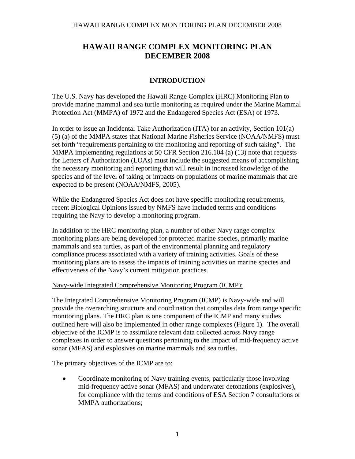## **INTRODUCTION**

The U.S. Navy has developed the Hawaii Range Complex (HRC) Monitoring Plan to provide marine mammal and sea turtle monitoring as required under the Marine Mammal Protection Act (MMPA) of 1972 and the Endangered Species Act (ESA) of 1973.

In order to issue an Incidental Take Authorization (ITA) for an activity, Section 101(a) (5) (a) of the MMPA states that National Marine Fisheries Service (NOAA/NMFS) must set forth "requirements pertaining to the monitoring and reporting of such taking". The MMPA implementing regulations at 50 CFR Section 216.104 (a) (13) note that requests for Letters of Authorization (LOAs) must include the suggested means of accomplishing the necessary monitoring and reporting that will result in increased knowledge of the species and of the level of taking or impacts on populations of marine mammals that are expected to be present (NOAA/NMFS, 2005).

While the Endangered Species Act does not have specific monitoring requirements, recent Biological Opinions issued by NMFS have included terms and conditions requiring the Navy to develop a monitoring program.

In addition to the HRC monitoring plan, a number of other Navy range complex monitoring plans are being developed for protected marine species, primarily marine mammals and sea turtles, as part of the environmental planning and regulatory compliance process associated with a variety of training activities. Goals of these monitoring plans are to assess the impacts of training activities on marine species and effectiveness of the Navy's current mitigation practices.

## Navy-wide Integrated Comprehensive Monitoring Program (ICMP):

The Integrated Comprehensive Monitoring Program (ICMP) is Navy-wide and will provide the overarching structure and coordination that compiles data from range specific monitoring plans. The HRC plan is one component of the ICMP and many studies outlined here will also be implemented in other range complexes (Figure 1). The overall objective of the ICMP is to assimilate relevant data collected across Navy range complexes in order to answer questions pertaining to the impact of mid-frequency active sonar (MFAS) and explosives on marine mammals and sea turtles.

The primary objectives of the ICMP are to:

• Coordinate monitoring of Navy training events, particularly those involving mid-frequency active sonar (MFAS) and underwater detonations (explosives), for compliance with the terms and conditions of ESA Section 7 consultations or MMPA authorizations;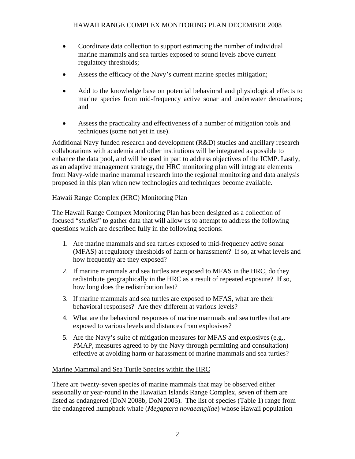- Coordinate data collection to support estimating the number of individual marine mammals and sea turtles exposed to sound levels above current regulatory thresholds;
- Assess the efficacy of the Navy's current marine species mitigation;
- Add to the knowledge base on potential behavioral and physiological effects to marine species from mid-frequency active sonar and underwater detonations; and
- Assess the practicality and effectiveness of a number of mitigation tools and techniques (some not yet in use).

Additional Navy funded research and development (R&D) studies and ancillary research collaborations with academia and other institutions will be integrated as possible to enhance the data pool, and will be used in part to address objectives of the ICMP. Lastly, as an adaptive management strategy, the HRC monitoring plan will integrate elements from Navy-wide marine mammal research into the regional monitoring and data analysis proposed in this plan when new technologies and techniques become available.

## Hawaii Range Complex (HRC) Monitoring Plan

The Hawaii Range Complex Monitoring Plan has been designed as a collection of focused "*studies*" to gather data that will allow us to attempt to address the following questions which are described fully in the following sections:

- 1. Are marine mammals and sea turtles exposed to mid-frequency active sonar (MFAS) at regulatory thresholds of harm or harassment? If so, at what levels and how frequently are they exposed?
- 2. If marine mammals and sea turtles are exposed to MFAS in the HRC, do they redistribute geographically in the HRC as a result of repeated exposure? If so, how long does the redistribution last?
- 3. If marine mammals and sea turtles are exposed to MFAS, what are their behavioral responses? Are they different at various levels?
- 4. What are the behavioral responses of marine mammals and sea turtles that are exposed to various levels and distances from explosives?
- 5. Are the Navy's suite of mitigation measures for MFAS and explosives (e.g., PMAP, measures agreed to by the Navy through permitting and consultation) effective at avoiding harm or harassment of marine mammals and sea turtles?

## Marine Mammal and Sea Turtle Species within the HRC

There are twenty-seven species of marine mammals that may be observed either seasonally or year-round in the Hawaiian Islands Range Complex, seven of them are listed as endangered (DoN 2008b, DoN 2005). The list of species (Table 1) range from the endangered humpback whale (*Megaptera novaeangliae*) whose Hawaii population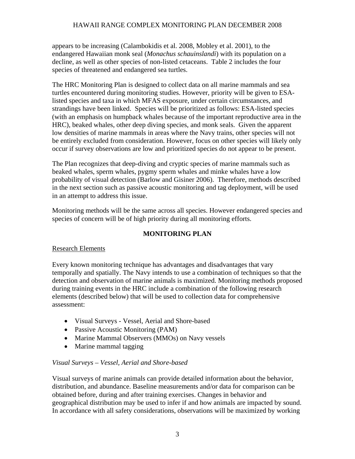appears to be increasing (Calambokidis et al. 2008, Mobley et al. 2001), to the endangered Hawaiian monk seal (*Monachus schauinslandi*) with its population on a decline, as well as other species of non-listed cetaceans. Table 2 includes the four species of threatened and endangered sea turtles.

The HRC Monitoring Plan is designed to collect data on all marine mammals and sea turtles encountered during monitoring studies. However, priority will be given to ESAlisted species and taxa in which MFAS exposure, under certain circumstances, and strandings have been linked. Species will be prioritized as follows: ESA-listed species (with an emphasis on humpback whales because of the important reproductive area in the HRC), beaked whales, other deep diving species, and monk seals. Given the apparent low densities of marine mammals in areas where the Navy trains, other species will not be entirely excluded from consideration. However, focus on other species will likely only occur if survey observations are low and prioritized species do not appear to be present.

The Plan recognizes that deep-diving and cryptic species of marine mammals such as beaked whales, sperm whales, pygmy sperm whales and minke whales have a low probability of visual detection (Barlow and Gisiner 2006). Therefore, methods described in the next section such as passive acoustic monitoring and tag deployment, will be used in an attempt to address this issue.

Monitoring methods will be the same across all species. However endangered species and species of concern will be of high priority during all monitoring efforts.

## **MONITORING PLAN**

## Research Elements

Every known monitoring technique has advantages and disadvantages that vary temporally and spatially. The Navy intends to use a combination of techniques so that the detection and observation of marine animals is maximized. Monitoring methods proposed during training events in the HRC include a combination of the following research elements (described below) that will be used to collection data for comprehensive assessment:

- Visual Surveys Vessel, Aerial and Shore-based
- Passive Acoustic Monitoring (PAM)
- Marine Mammal Observers (MMOs) on Navy vessels
- Marine mammal tagging

## *Visual Surveys – Vessel, Aerial and Shore-based*

Visual surveys of marine animals can provide detailed information about the behavior, distribution, and abundance. Baseline measurements and/or data for comparison can be obtained before, during and after training exercises. Changes in behavior and geographical distribution may be used to infer if and how animals are impacted by sound. In accordance with all safety considerations, observations will be maximized by working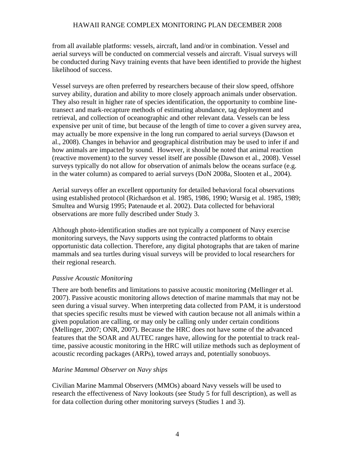from all available platforms: vessels, aircraft, land and/or in combination. Vessel and aerial surveys will be conducted on commercial vessels and aircraft. Visual surveys will be conducted during Navy training events that have been identified to provide the highest likelihood of success.

Vessel surveys are often preferred by researchers because of their slow speed, offshore survey ability, duration and ability to more closely approach animals under observation. They also result in higher rate of species identification, the opportunity to combine linetransect and mark-recapture methods of estimating abundance, tag deployment and retrieval, and collection of oceanographic and other relevant data. Vessels can be less expensive per unit of time, but because of the length of time to cover a given survey area, may actually be more expensive in the long run compared to aerial surveys (Dawson et al., 2008). Changes in behavior and geographical distribution may be used to infer if and how animals are impacted by sound. However, it should be noted that animal reaction (reactive movement) to the survey vessel itself are possible (Dawson et al., 2008). Vessel surveys typically do not allow for observation of animals below the oceans surface (e.g. in the water column) as compared to aerial surveys (DoN 2008a, Slooten et al., 2004).

Aerial surveys offer an excellent opportunity for detailed behavioral focal observations using established protocol (Richardson et al. 1985, 1986, 1990; Wursig et al. 1985, 1989; Smultea and Wursig 1995; Patenaude et al. 2002). Data collected for behavioral observations are more fully described under Study 3.

Although photo-identification studies are not typically a component of Navy exercise monitoring surveys, the Navy supports using the contracted platforms to obtain opportunistic data collection. Therefore, any digital photographs that are taken of marine mammals and sea turtles during visual surveys will be provided to local researchers for their regional research.

#### *Passive Acoustic Monitoring*

There are both benefits and limitations to passive acoustic monitoring (Mellinger et al. 2007). Passive acoustic monitoring allows detection of marine mammals that may not be seen during a visual survey. When interpreting data collected from PAM, it is understood that species specific results must be viewed with caution because not all animals within a given population are calling, or may only be calling only under certain conditions (Mellinger, 2007; ONR, 2007). Because the HRC does not have some of the advanced features that the SOAR and AUTEC ranges have, allowing for the potential to track realtime, passive acoustic monitoring in the HRC will utilize methods such as deployment of acoustic recording packages (ARPs), towed arrays and, potentially sonobuoys.

## *Marine Mammal Observer on Navy ships*

Civilian Marine Mammal Observers (MMOs) aboard Navy vessels will be used to research the effectiveness of Navy lookouts (see Study 5 for full description), as well as for data collection during other monitoring surveys (Studies 1 and 3).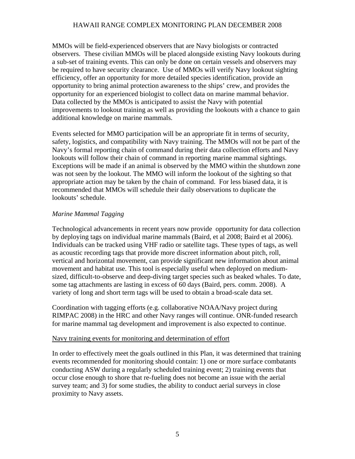MMOs will be field-experienced observers that are Navy biologists or contracted observers. These civilian MMOs will be placed alongside existing Navy lookouts during a sub-set of training events. This can only be done on certain vessels and observers may be required to have security clearance. Use of MMOs will verify Navy lookout sighting efficiency, offer an opportunity for more detailed species identification, provide an opportunity to bring animal protection awareness to the ships' crew, and provides the opportunity for an experienced biologist to collect data on marine mammal behavior. Data collected by the MMOs is anticipated to assist the Navy with potential improvements to lookout training as well as providing the lookouts with a chance to gain additional knowledge on marine mammals.

Events selected for MMO participation will be an appropriate fit in terms of security, safety, logistics, and compatibility with Navy training. The MMOs will not be part of the Navy's formal reporting chain of command during their data collection efforts and Navy lookouts will follow their chain of command in reporting marine mammal sightings. Exceptions will be made if an animal is observed by the MMO within the shutdown zone was not seen by the lookout. The MMO will inform the lookout of the sighting so that appropriate action may be taken by the chain of command. For less biased data, it is recommended that MMOs will schedule their daily observations to duplicate the lookouts' schedule.

#### *Marine Mammal Tagging*

Technological advancements in recent years now provide opportunity for data collection by deploying tags on individual marine mammals (Baird, et al 2008; Baird et al 2006). Individuals can be tracked using VHF radio or satellite tags. These types of tags, as well as acoustic recording tags that provide more discreet information about pitch, roll, vertical and horizontal movement, can provide significant new information about animal movement and habitat use. This tool is especially useful when deployed on mediumsized, difficult-to-observe and deep-diving target species such as beaked whales. To date, some tag attachments are lasting in excess of 60 days (Baird, pers. comm. 2008). A variety of long and short term tags will be used to obtain a broad-scale data set.

Coordination with tagging efforts (e.g. collaborative NOAA/Navy project during RIMPAC 2008) in the HRC and other Navy ranges will continue. ONR-funded research for marine mammal tag development and improvement is also expected to continue.

#### Navy training events for monitoring and determination of effort

In order to effectively meet the goals outlined in this Plan, it was determined that training events recommended for monitoring should contain: 1) one or more surface combatants conducting ASW during a regularly scheduled training event; 2) training events that occur close enough to shore that re-fueling does not become an issue with the aerial survey team; and 3) for some studies, the ability to conduct aerial surveys in close proximity to Navy assets.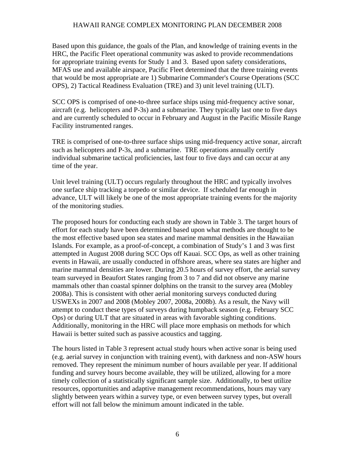Based upon this guidance, the goals of the Plan, and knowledge of training events in the HRC, the Pacific Fleet operational community was asked to provide recommendations for appropriate training events for Study 1 and 3. Based upon safety considerations, MFAS use and available airspace, Pacific Fleet determined that the three training events that would be most appropriate are 1) Submarine Commander's Course Operations (SCC OPS), 2) Tactical Readiness Evaluation (TRE) and 3) unit level training (ULT).

SCC OPS is comprised of one-to-three surface ships using mid-frequency active sonar, aircraft (e.g. helicopters and P-3s) and a submarine. They typically last one to five days and are currently scheduled to occur in February and August in the Pacific Missile Range Facility instrumented ranges.

TRE is comprised of one-to-three surface ships using mid-frequency active sonar, aircraft such as helicopters and P-3s, and a submarine. TRE operations annually certify individual submarine tactical proficiencies, last four to five days and can occur at any time of the year.

Unit level training (ULT) occurs regularly throughout the HRC and typically involves one surface ship tracking a torpedo or similar device. If scheduled far enough in advance, ULT will likely be one of the most appropriate training events for the majority of the monitoring studies.

The proposed hours for conducting each study are shown in Table 3. The target hours of effort for each study have been determined based upon what methods are thought to be the most effective based upon sea states and marine mammal densities in the Hawaiian Islands. For example, as a proof-of-concept, a combination of Study's 1 and 3 was first attempted in August 2008 during SCC Ops off Kauai. SCC Ops, as well as other training events in Hawaii, are usually conducted in offshore areas, where sea states are higher and marine mammal densities are lower. During 20.5 hours of survey effort, the aerial survey team surveyed in Beaufort States ranging from 3 to 7 and did not observe any marine mammals other than coastal spinner dolphins on the transit to the survey area (Mobley 2008a). This is consistent with other aerial monitoring surveys conducted during USWEXs in 2007 and 2008 (Mobley 2007, 2008a, 2008b). As a result, the Navy will attempt to conduct these types of surveys during humpback season (e.g. February SCC Ops) or during ULT that are situated in areas with favorable sighting conditions. Additionally, monitoring in the HRC will place more emphasis on methods for which Hawaii is better suited such as passive acoustics and tagging.

The hours listed in Table 3 represent actual study hours when active sonar is being used (e.g. aerial survey in conjunction with training event), with darkness and non-ASW hours removed. They represent the minimum number of hours available per year. If additional funding and survey hours become available, they will be utilized, allowing for a more timely collection of a statistically significant sample size. Additionally, to best utilize resources, opportunities and adaptive management recommendations, hours may vary slightly between years within a survey type, or even between survey types, but overall effort will not fall below the minimum amount indicated in the table.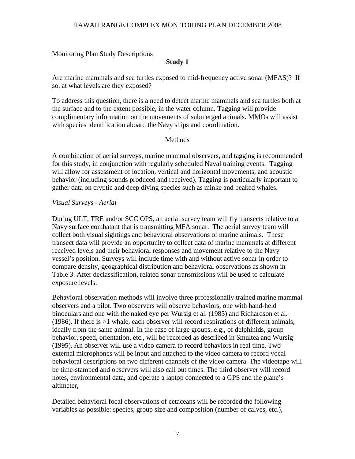### Monitoring Plan Study Descriptions

### **Study 1**

## Are marine mammals and sea turtles exposed to mid-frequency active sonar (MFAS)? If so, at what levels are they exposed?

To address this question, there is a need to detect marine mammals and sea turtles both at the surface and to the extent possible, in the water column. Tagging will provide complimentary information on the movements of submerged animals. MMOs will assist with species identification aboard the Navy ships and coordination.

## Methods

A combination of aerial surveys, marine mammal observers, and tagging is recommended for this study, in conjunction with regularly scheduled Naval training events. Tagging will allow for assessment of location, vertical and horizontal movements, and acoustic behavior (including sounds produced and received). Tagging is particularly important to gather data on cryptic and deep diving species such as minke and beaked whales.

#### *Visual Surveys - Aerial*

During ULT, TRE and/or SCC OPS, an aerial survey team will fly transects relative to a Navy surface combatant that is transmitting MFA sonar. The aerial survey team will collect both visual sightings and behavioral observations of marine animals. These transect data will provide an opportunity to collect data of marine mammals at different received levels and their behavioral responses and movement relative to the Navy vessel's position. Surveys will include time with and without active sonar in order to compare density, geographical distribution and behavioral observations as shown in Table 3. After declassification, related sonar transmissions will be used to calculate exposure levels.

Behavioral observation methods will involve three professionally trained marine mammal observers and a pilot. Two observers will observe behaviors, one with hand-held binoculars and one with the naked eye per Wursig et al. (1985) and Richardson et al. (1986). If there is >1 whale, each observer will record respirations of different animals, ideally from the same animal. In the case of large groups, e.g., of delphinids, group behavior, speed, orientation, etc., will be recorded as described in Smultea and Wursig (1995). An observer will use a video camera to record behaviors in real time. Two external microphones will be input and attached to the video camera to record vocal behavioral descriptions on two different channels of the video camera. The videotape will be time-stamped and observers will also call out times. The third observer will record notes, environmental data, and operate a laptop connected to a GPS and the plane's altimeter,

Detailed behavioral focal observations of cetaceans will be recorded the following variables as possible: species, group size and composition (number of calves, etc.),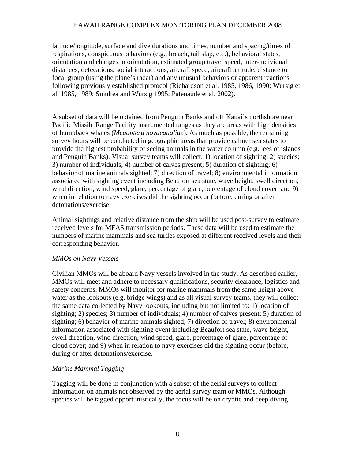latitude/longitude, surface and dive durations and times, number and spacing/times of respirations, conspicuous behaviors (e.g., breach, tail slap, etc.), behavioral states, orientation and changes in orientation, estimated group travel speed, inter-individual distances, defecations, social interactions, aircraft speed, aircraft altitude, distance to focal group (using the plane's radar) and any unusual behaviors or apparent reactions following previously established protocol (Richardson et al. 1985, 1986, 1990; Wursig et al. 1985, 1989; Smultea and Wursig 1995; Patenaude et al. 2002).

A subset of data will be obtained from Penguin Banks and off Kauai's northshore near Pacific Missile Range Facility instrumented ranges as they are areas with high densities of humpback whales (*Megaptera novaeangliae*). As much as possible, the remaining survey hours will be conducted in geographic areas that provide calmer sea states to provide the highest probability of seeing animals in the water column (e.g. lees of islands and Penguin Banks). Visual survey teams will collect: 1) location of sighting; 2) species; 3) number of individuals; 4) number of calves present; 5) duration of sighting; 6) behavior of marine animals sighted; 7) direction of travel; 8) environmental information associated with sighting event including Beaufort sea state, wave height, swell direction, wind direction, wind speed, glare, percentage of glare, percentage of cloud cover; and 9) when in relation to navy exercises did the sighting occur (before, during or after detonations/exercise

Animal sightings and relative distance from the ship will be used post-survey to estimate received levels for MFAS transmission periods. These data will be used to estimate the numbers of marine mammals and sea turtles exposed at different received levels and their corresponding behavior.

#### *MMOs on Navy Vessels*

Civilian MMOs will be aboard Navy vessels involved in the study. As described earlier, MMOs will meet and adhere to necessary qualifications, security clearance, logistics and safety concerns. MMOs will monitor for marine mammals from the same height above water as the lookouts (e.g. bridge wings) and as all visual survey teams, they will collect the same data collected by Navy lookouts, including but not limited to: 1) location of sighting; 2) species; 3) number of individuals; 4) number of calves present; 5) duration of sighting; 6) behavior of marine animals sighted; 7) direction of travel; 8) environmental information associated with sighting event including Beaufort sea state, wave height, swell direction, wind direction, wind speed, glare, percentage of glare, percentage of cloud cover; and 9) when in relation to navy exercises did the sighting occur (before, during or after detonations/exercise.

#### *Marine Mammal Tagging*

Tagging will be done in conjunction with a subset of the aerial surveys to collect information on animals not observed by the aerial survey team or MMOs. Although species will be tagged opportunistically, the focus will be on cryptic and deep diving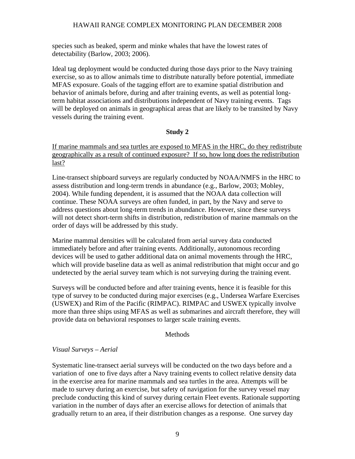species such as beaked, sperm and minke whales that have the lowest rates of detectability (Barlow, 2003; 2006).

Ideal tag deployment would be conducted during those days prior to the Navy training exercise, so as to allow animals time to distribute naturally before potential, immediate MFAS exposure. Goals of the tagging effort are to examine spatial distribution and behavior of animals before, during and after training events, as well as potential longterm habitat associations and distributions independent of Navy training events. Tags will be deployed on animals in geographical areas that are likely to be transited by Navy vessels during the training event.

#### **Study 2**

If marine mammals and sea turtles are exposed to MFAS in the HRC, do they redistribute geographically as a result of continued exposure? If so, how long does the redistribution last?

Line-transect shipboard surveys are regularly conducted by NOAA/NMFS in the HRC to assess distribution and long-term trends in abundance (e.g., Barlow, 2003; Mobley, 2004). While funding dependent, it is assumed that the NOAA data collection will continue. These NOAA surveys are often funded, in part, by the Navy and serve to address questions about long-term trends in abundance. However, since these surveys will not detect short-term shifts in distribution, redistribution of marine mammals on the order of days will be addressed by this study.

Marine mammal densities will be calculated from aerial survey data conducted immediately before and after training events. Additionally, autonomous recording devices will be used to gather additional data on animal movements through the HRC, which will provide baseline data as well as animal redistribution that might occur and go undetected by the aerial survey team which is not surveying during the training event.

Surveys will be conducted before and after training events, hence it is feasible for this type of survey to be conducted during major exercises (e.g., Undersea Warfare Exercises (USWEX) and Rim of the Pacific (RIMPAC). RIMPAC and USWEX typically involve more than three ships using MFAS as well as submarines and aircraft therefore, they will provide data on behavioral responses to larger scale training events.

## Methods

## *Visual Surveys – Aerial*

Systematic line-transect aerial surveys will be conducted on the two days before and a variation of one to five days after a Navy training events to collect relative density data in the exercise area for marine mammals and sea turtles in the area. Attempts will be made to survey during an exercise, but safety of navigation for the survey vessel may preclude conducting this kind of survey during certain Fleet events. Rationale supporting variation in the number of days after an exercise allows for detection of animals that gradually return to an area, if their distribution changes as a response. One survey day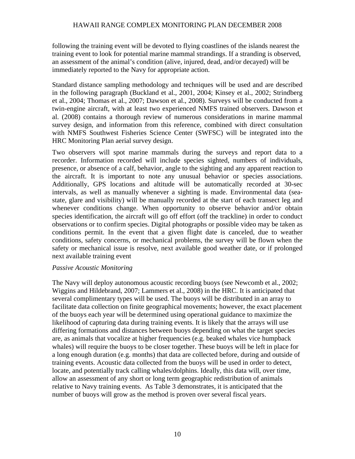following the training event will be devoted to flying coastlines of the islands nearest the training event to look for potential marine mammal strandings. If a stranding is observed, an assessment of the animal's condition (alive, injured, dead, and/or decayed) will be immediately reported to the Navy for appropriate action.

Standard distance sampling methodology and techniques will be used and are described in the following paragraph (Buckland et al., 2001, 2004; Kinsey et al., 2002; Strindberg et al., 2004; Thomas et al., 2007; Dawson et al., 2008). Surveys will be conducted from a twin-engine aircraft, with at least two experienced NMFS trained observers. Dawson et al. (2008) contains a thorough review of numerous considerations in marine mammal survey design, and information from this reference, combined with direct consultation with NMFS Southwest Fisheries Science Center (SWFSC) will be integrated into the HRC Monitoring Plan aerial survey design.

Two observers will spot marine mammals during the surveys and report data to a recorder. Information recorded will include species sighted, numbers of individuals, presence, or absence of a calf, behavior, angle to the sighting and any apparent reaction to the aircraft. It is important to note any unusual behavior or species associations. Additionally, GPS locations and altitude will be automatically recorded at 30-sec intervals, as well as manually whenever a sighting is made. Environmental data (seastate, glare and visibility) will be manually recorded at the start of each transect leg and whenever conditions change. When opportunity to observe behavior and/or obtain species identification, the aircraft will go off effort (off the trackline) in order to conduct observations or to confirm species. Digital photographs or possible video may be taken as conditions permit. In the event that a given flight date is canceled, due to weather conditions, safety concerns, or mechanical problems, the survey will be flown when the safety or mechanical issue is resolve, next available good weather date, or if prolonged next available training event

#### *Passive Acoustic Monitoring*

The Navy will deploy autonomous acoustic recording buoys (see Newcomb et al., 2002; Wiggins and Hildebrand, 2007; Lammers et al., 2008) in the HRC. It is anticipated that several complimentary types will be used. The buoys will be distributed in an array to facilitate data collection on finite geographical movements; however, the exact placement of the buoys each year will be determined using operational guidance to maximize the likelihood of capturing data during training events. It is likely that the arrays will use differing formations and distances between buoys depending on what the target species are, as animals that vocalize at higher frequencies (e.g. beaked whales vice humpback whales) will require the buoys to be closer together. These buoys will be left in place for a long enough duration (e.g. months) that data are collected before, during and outside of training events. Acoustic data collected from the buoys will be used in order to detect, locate, and potentially track calling whales/dolphins. Ideally, this data will, over time, allow an assessment of any short or long term geographic redistribution of animals relative to Navy training events. As Table 3 demonstrates, it is anticipated that the number of buoys will grow as the method is proven over several fiscal years.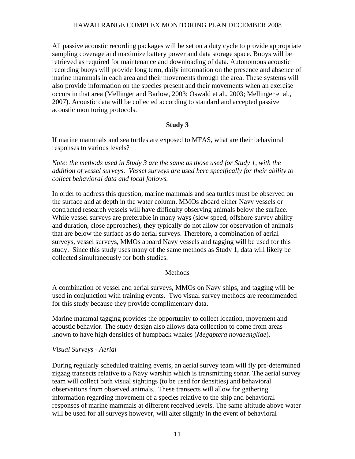All passive acoustic recording packages will be set on a duty cycle to provide appropriate sampling coverage and maximize battery power and data storage space. Buoys will be retrieved as required for maintenance and downloading of data. Autonomous acoustic recording buoys will provide long term, daily information on the presence and absence of marine mammals in each area and their movements through the area. These systems will also provide information on the species present and their movements when an exercise occurs in that area (Mellinger and Barlow, 2003; Oswald et al., 2003; Mellinger et al., 2007). Acoustic data will be collected according to standard and accepted passive acoustic monitoring protocols.

## **Study 3**

If marine mammals and sea turtles are exposed to MFAS, what are their behavioral responses to various levels?

*Note: the methods used in Study 3 are the same as those used for Study 1, with the addition of vessel surveys. Vessel surveys are used here specifically for their ability to collect behavioral data and focal follows.* 

In order to address this question, marine mammals and sea turtles must be observed on the surface and at depth in the water column. MMOs aboard either Navy vessels or contracted research vessels will have difficulty observing animals below the surface. While vessel surveys are preferable in many ways (slow speed, offshore survey ability and duration, close approaches), they typically do not allow for observation of animals that are below the surface as do aerial surveys. Therefore, a combination of aerial surveys, vessel surveys, MMOs aboard Navy vessels and tagging will be used for this study. Since this study uses many of the same methods as Study 1, data will likely be collected simultaneously for both studies.

#### **Methods**

A combination of vessel and aerial surveys, MMOs on Navy ships, and tagging will be used in conjunction with training events. Two visual survey methods are recommended for this study because they provide complimentary data.

Marine mammal tagging provides the opportunity to collect location, movement and acoustic behavior. The study design also allows data collection to come from areas known to have high densities of humpback whales (*Megaptera novaeangliae*).

#### *Visual Surveys - Aerial*

During regularly scheduled training events, an aerial survey team will fly pre-determined zigzag transects relative to a Navy warship which is transmitting sonar. The aerial survey team will collect both visual sightings (to be used for densities) and behavioral observations from observed animals. These transects will allow for gathering information regarding movement of a species relative to the ship and behavioral responses of marine mammals at different received levels. The same altitude above water will be used for all surveys however, will alter slightly in the event of behavioral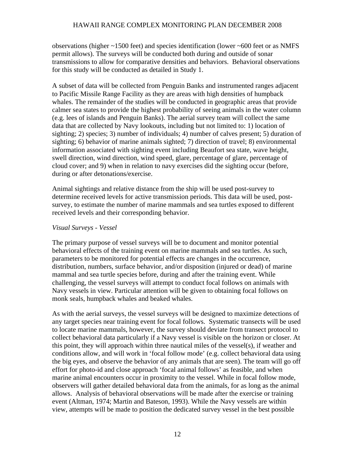observations (higher ~1500 feet) and species identification (lower ~600 feet or as NMFS permit allows). The surveys will be conducted both during and outside of sonar transmissions to allow for comparative densities and behaviors. Behavioral observations for this study will be conducted as detailed in Study 1.

A subset of data will be collected from Penguin Banks and instrumented ranges adjacent to Pacific Missile Range Facility as they are areas with high densities of humpback whales. The remainder of the studies will be conducted in geographic areas that provide calmer sea states to provide the highest probability of seeing animals in the water column (e.g. lees of islands and Penguin Banks). The aerial survey team will collect the same data that are collected by Navy lookouts, including but not limited to: 1) location of sighting; 2) species; 3) number of individuals; 4) number of calves present; 5) duration of sighting; 6) behavior of marine animals sighted; 7) direction of travel; 8) environmental information associated with sighting event including Beaufort sea state, wave height, swell direction, wind direction, wind speed, glare, percentage of glare, percentage of cloud cover; and 9) when in relation to navy exercises did the sighting occur (before, during or after detonations/exercise.

Animal sightings and relative distance from the ship will be used post-survey to determine received levels for active transmission periods. This data will be used, postsurvey, to estimate the number of marine mammals and sea turtles exposed to different received levels and their corresponding behavior.

#### *Visual Surveys - Vessel*

The primary purpose of vessel surveys will be to document and monitor potential behavioral effects of the training event on marine mammals and sea turtles. As such, parameters to be monitored for potential effects are changes in the occurrence, distribution, numbers, surface behavior, and/or disposition (injured or dead) of marine mammal and sea turtle species before, during and after the training event. While challenging, the vessel surveys will attempt to conduct focal follows on animals with Navy vessels in view. Particular attention will be given to obtaining focal follows on monk seals, humpback whales and beaked whales.

As with the aerial surveys, the vessel surveys will be designed to maximize detections of any target species near training event for focal follows. Systematic transects will be used to locate marine mammals, however, the survey should deviate from transect protocol to collect behavioral data particularly if a Navy vessel is visible on the horizon or closer. At this point, they will approach within three nautical miles of the vessel(s), if weather and conditions allow, and will work in 'focal follow mode' (e.g. collect behavioral data using the big eyes, and observe the behavior of any animals that are seen). The team will go off effort for photo-id and close approach 'focal animal follows' as feasible, and when marine animal encounters occur in proximity to the vessel. While in focal follow mode, observers will gather detailed behavioral data from the animals, for as long as the animal allows. Analysis of behavioral observations will be made after the exercise or training event (Altman, 1974; Martin and Bateson, 1993). While the Navy vessels are within view, attempts will be made to position the dedicated survey vessel in the best possible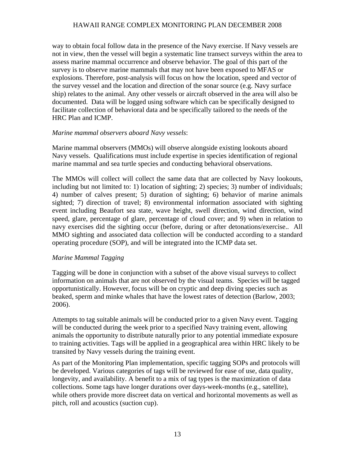way to obtain focal follow data in the presence of the Navy exercise. If Navy vessels are not in view, then the vessel will begin a systematic line transect surveys within the area to assess marine mammal occurrence and observe behavior. The goal of this part of the survey is to observe marine mammals that may not have been exposed to MFAS or explosions. Therefore, post-analysis will focus on how the location, speed and vector of the survey vessel and the location and direction of the sonar source (e.g. Navy surface ship) relates to the animal. Any other vessels or aircraft observed in the area will also be documented. Data will be logged using software which can be specifically designed to facilitate collection of behavioral data and be specifically tailored to the needs of the HRC Plan and ICMP.

## *Marine mammal observers aboard Navy vessels*:

Marine mammal observers (MMOs) will observe alongside existing lookouts aboard Navy vessels. Qualifications must include expertise in species identification of regional marine mammal and sea turtle species and conducting behavioral observations.

The MMOs will collect will collect the same data that are collected by Navy lookouts, including but not limited to: 1) location of sighting; 2) species; 3) number of individuals; 4) number of calves present; 5) duration of sighting; 6) behavior of marine animals sighted; 7) direction of travel; 8) environmental information associated with sighting event including Beaufort sea state, wave height, swell direction, wind direction, wind speed, glare, percentage of glare, percentage of cloud cover; and 9) when in relation to navy exercises did the sighting occur (before, during or after detonations/exercise.. All MMO sighting and associated data collection will be conducted according to a standard operating procedure (SOP), and will be integrated into the ICMP data set.

## *Marine Mammal Tagging*

Tagging will be done in conjunction with a subset of the above visual surveys to collect information on animals that are not observed by the visual teams. Species will be tagged opportunistically. However, focus will be on cryptic and deep diving species such as beaked, sperm and minke whales that have the lowest rates of detection (Barlow, 2003; 2006).

Attempts to tag suitable animals will be conducted prior to a given Navy event. Tagging will be conducted during the week prior to a specified Navy training event, allowing animals the opportunity to distribute naturally prior to any potential immediate exposure to training activities. Tags will be applied in a geographical area within HRC likely to be transited by Navy vessels during the training event.

As part of the Monitoring Plan implementation, specific tagging SOPs and protocols will be developed. Various categories of tags will be reviewed for ease of use, data quality, longevity, and availability. A benefit to a mix of tag types is the maximization of data collections. Some tags have longer durations over days-week-months (e.g., satellite), while others provide more discreet data on vertical and horizontal movements as well as pitch, roll and acoustics (suction cup).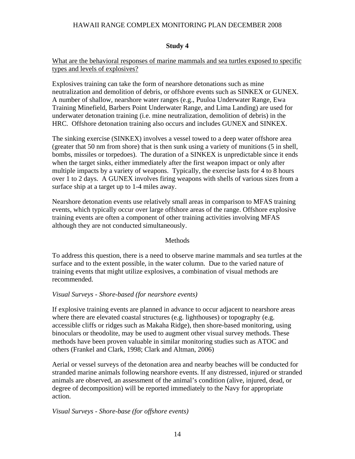#### **Study 4**

## What are the behavioral responses of marine mammals and sea turtles exposed to specific types and levels of explosives?

Explosives training can take the form of nearshore detonations such as mine neutralization and demolition of debris, or offshore events such as SINKEX or GUNEX. A number of shallow, nearshore water ranges (e.g., Puuloa Underwater Range, Ewa Training Minefield, Barbers Point Underwater Range, and Lima Landing) are used for underwater detonation training (i.e. mine neutralization, demolition of debris) in the HRC. Offshore detonation training also occurs and includes GUNEX and SINKEX.

The sinking exercise (SINKEX) involves a vessel towed to a deep water offshore area (greater that 50 nm from shore) that is then sunk using a variety of munitions (5 in shell, bombs, missiles or torpedoes). The duration of a SINKEX is unpredictable since it ends when the target sinks, either immediately after the first weapon impact or only after multiple impacts by a variety of weapons. Typically, the exercise lasts for 4 to 8 hours over 1 to 2 days. A GUNEX involves firing weapons with shells of various sizes from a surface ship at a target up to 1-4 miles away.

Nearshore detonation events use relatively small areas in comparison to MFAS training events, which typically occur over large offshore areas of the range. Offshore explosive training events are often a component of other training activities involving MFAS although they are not conducted simultaneously.

#### **Methods**

To address this question, there is a need to observe marine mammals and sea turtles at the surface and to the extent possible, in the water column. Due to the varied nature of training events that might utilize explosives, a combination of visual methods are recommended.

#### *Visual Surveys - Shore-based (for nearshore events)*

If explosive training events are planned in advance to occur adjacent to nearshore areas where there are elevated coastal structures (e.g. lighthouses) or topography (e.g. accessible cliffs or ridges such as Makaha Ridge), then shore-based monitoring, using binoculars or theodolite, may be used to augment other visual survey methods. These methods have been proven valuable in similar monitoring studies such as ATOC and others (Frankel and Clark, 1998; Clark and Altman, 2006)

Aerial or vessel surveys of the detonation area and nearby beaches will be conducted for stranded marine animals following nearshore events. If any distressed, injured or stranded animals are observed, an assessment of the animal's condition (alive, injured, dead, or degree of decomposition) will be reported immediately to the Navy for appropriate action.

#### *Visual Surveys - Shore-base (for offshore events)*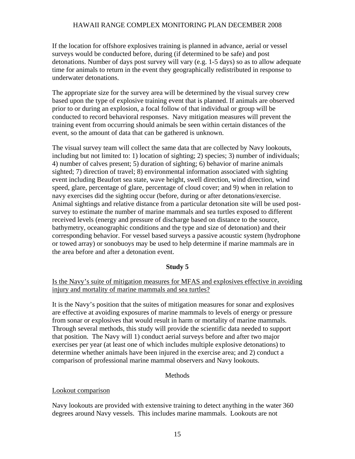If the location for offshore explosives training is planned in advance, aerial or vessel surveys would be conducted before, during (if determined to be safe) and post detonations. Number of days post survey will vary (e.g. 1-5 days) so as to allow adequate time for animals to return in the event they geographically redistributed in response to underwater detonations.

The appropriate size for the survey area will be determined by the visual survey crew based upon the type of explosive training event that is planned. If animals are observed prior to or during an explosion, a focal follow of that individual or group will be conducted to record behavioral responses. Navy mitigation measures will prevent the training event from occurring should animals be seen within certain distances of the event, so the amount of data that can be gathered is unknown.

The visual survey team will collect the same data that are collected by Navy lookouts, including but not limited to: 1) location of sighting; 2) species; 3) number of individuals; 4) number of calves present; 5) duration of sighting; 6) behavior of marine animals sighted; 7) direction of travel; 8) environmental information associated with sighting event including Beaufort sea state, wave height, swell direction, wind direction, wind speed, glare, percentage of glare, percentage of cloud cover; and 9) when in relation to navy exercises did the sighting occur (before, during or after detonations/exercise. Animal sightings and relative distance from a particular detonation site will be used postsurvey to estimate the number of marine mammals and sea turtles exposed to different received levels (energy and pressure of discharge based on distance to the source, bathymetry, oceanographic conditions and the type and size of detonation) and their corresponding behavior. For vessel based surveys a passive acoustic system (hydrophone or towed array) or sonobuoys may be used to help determine if marine mammals are in the area before and after a detonation event.

#### **Study 5**

#### Is the Navy's suite of mitigation measures for MFAS and explosives effective in avoiding injury and mortality of marine mammals and sea turtles?

It is the Navy's position that the suites of mitigation measures for sonar and explosives are effective at avoiding exposures of marine mammals to levels of energy or pressure from sonar or explosives that would result in harm or mortality of marine mammals. Through several methods, this study will provide the scientific data needed to support that position. The Navy will 1) conduct aerial surveys before and after two major exercises per year (at least one of which includes multiple explosive detonations) to determine whether animals have been injured in the exercise area; and 2) conduct a comparison of professional marine mammal observers and Navy lookouts.

#### **Methods**

#### Lookout comparison

Navy lookouts are provided with extensive training to detect anything in the water 360 degrees around Navy vessels. This includes marine mammals. Lookouts are not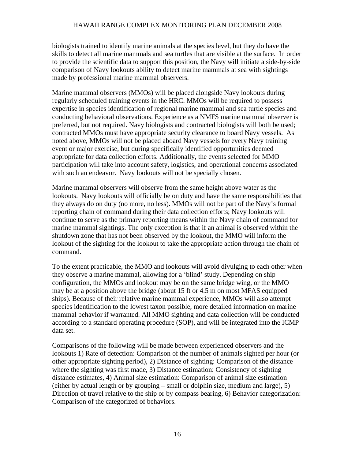biologists trained to identify marine animals at the species level, but they do have the skills to detect all marine mammals and sea turtles that are visible at the surface. In order to provide the scientific data to support this position, the Navy will initiate a side-by-side comparison of Navy lookouts ability to detect marine mammals at sea with sightings made by professional marine mammal observers.

Marine mammal observers (MMOs) will be placed alongside Navy lookouts during regularly scheduled training events in the HRC. MMOs will be required to possess expertise in species identification of regional marine mammal and sea turtle species and conducting behavioral observations. Experience as a NMFS marine mammal observer is preferred, but not required. Navy biologists and contracted biologists will both be used; contracted MMOs must have appropriate security clearance to board Navy vessels. As noted above, MMOs will not be placed aboard Navy vessels for every Navy training event or major exercise, but during specifically identified opportunities deemed appropriate for data collection efforts. Additionally, the events selected for MMO participation will take into account safety, logistics, and operational concerns associated with such an endeavor. Navy lookouts will not be specially chosen.

Marine mammal observers will observe from the same height above water as the lookouts. Navy lookouts will officially be on duty and have the same responsibilities that they always do on duty (no more, no less). MMOs will not be part of the Navy's formal reporting chain of command during their data collection efforts; Navy lookouts will continue to serve as the primary reporting means within the Navy chain of command for marine mammal sightings. The only exception is that if an animal is observed within the shutdown zone that has not been observed by the lookout, the MMO will inform the lookout of the sighting for the lookout to take the appropriate action through the chain of command.

To the extent practicable, the MMO and lookouts will avoid divulging to each other when they observe a marine mammal, allowing for a 'blind' study. Depending on ship configuration, the MMOs and lookout may be on the same bridge wing, or the MMO may be at a position above the bridge (about 15 ft or 4.5 m on most MFAS equipped ships). Because of their relative marine mammal experience, MMOs will also attempt species identification to the lowest taxon possible, more detailed information on marine mammal behavior if warranted. All MMO sighting and data collection will be conducted according to a standard operating procedure (SOP), and will be integrated into the ICMP data set.

Comparisons of the following will be made between experienced observers and the lookouts 1) Rate of detection: Comparison of the number of animals sighted per hour (or other appropriate sighting period), 2) Distance of sighting: Comparison of the distance where the sighting was first made, 3) Distance estimation: Consistency of sighting distance estimates, 4) Animal size estimation: Comparison of animal size estimation (either by actual length or by grouping – small or dolphin size, medium and large), 5) Direction of travel relative to the ship or by compass bearing, 6) Behavior categorization: Comparison of the categorized of behaviors.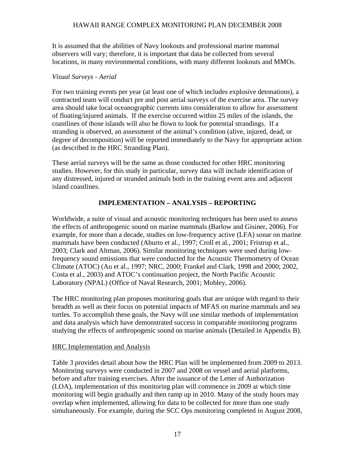It is assumed that the abilities of Navy lookouts and professional marine mammal observers will vary; therefore, it is important that data be collected from several locations, in many environmental conditions, with many different lookouts and MMOs.

#### *Visual Surveys - Aerial*

For two training events per year (at least one of which includes explosive detonations), a contracted team will conduct pre and post aerial surveys of the exercise area. The survey area should take local oceanographic currents into consideration to allow for assessment of floating/injured animals. If the exercise occurred within 25 miles of the islands, the coastlines of those islands will also be flown to look for potential strandings. If a stranding is observed, an assessment of the animal's condition (alive, injured, dead, or degree of decomposition) will be reported immediately to the Navy for appropriate action (as described in the HRC Stranding Plan).

These aerial surveys will be the same as those conducted for other HRC monitoring studies. However, for this study in particular, survey data will include identification of any distressed, injured or stranded animals both in the training event area and adjacent island coastlines.

## **IMPLEMENTATION – ANALYSIS – REPORTING**

Worldwide, a suite of visual and acoustic monitoring techniques has been used to assess the effects of anthropogenic sound on marine mammals (Barlow and Gisiner, 2006). For example, for more than a decade, studies on low-frequency active (LFA) sonar on marine mammals have been conducted (Aburto et al., 1997; Croll et al., 2001; Fristrup et al., 2003; Clark and Altman, 2006). Similar monitoring techniques were used during lowfrequency sound emissions that were conducted for the Acoustic Thermometry of Ocean Climate (ATOC) (Au et al., 1997; NRC, 2000; Frankel and Clark, 1998 and 2000; 2002, Costa et al., 2003) and ATOC's continuation project, the North Pacific Acoustic Laboratory (NPAL) (Office of Naval Research, 2001; Mobley, 2006).

The HRC monitoring plan proposes monitoring goals that are unique with regard to their breadth as well as their focus on potential impacts of MFAS on marine mammals and sea turtles. To accomplish these goals, the Navy will use similar methods of implementation and data analysis which have demonstrated success in comparable monitoring programs studying the effects of anthropogenic sound on marine animals (Detailed in Appendix B).

#### HRC Implementation and Analysis

Table 3 provides detail about how the HRC Plan will be implemented from 2009 to 2013. Monitoring surveys were conducted in 2007 and 2008 on vessel and aerial platforms, before and after training exercises. After the issuance of the Letter of Authorization (LOA), implementation of this monitoring plan will commence in 2009 at which time monitoring will begin gradually and then ramp up in 2010. Many of the study hours may overlap when implemented, allowing for data to be collected for more than one study simultaneously. For example, during the SCC Ops monitoring completed in August 2008,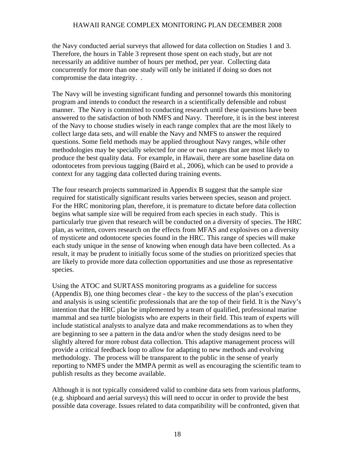the Navy conducted aerial surveys that allowed for data collection on Studies 1 and 3. Therefore, the hours in Table 3 represent those spent on each study, but are not necessarily an additive number of hours per method, per year. Collecting data concurrently for more than one study will only be initiated if doing so does not compromise the data integrity. .

The Navy will be investing significant funding and personnel towards this monitoring program and intends to conduct the research in a scientifically defensible and robust manner. The Navy is committed to conducting research until these questions have been answered to the satisfaction of both NMFS and Navy. Therefore, it is in the best interest of the Navy to choose studies wisely in each range complex that are the most likely to collect large data sets, and will enable the Navy and NMFS to answer the required questions. Some field methods may be applied throughout Navy ranges, while other methodologies may be specially selected for one or two ranges that are most likely to produce the best quality data. For example, in Hawaii, there are some baseline data on odontocetes from previous tagging (Baird et al., 2006), which can be used to provide a context for any tagging data collected during training events.

The four research projects summarized in Appendix B suggest that the sample size required for statistically significant results varies between species, season and project. For the HRC monitoring plan, therefore, it is premature to dictate before data collection begins what sample size will be required from each species in each study. This is particularly true given that research will be conducted on a diversity of species. The HRC plan, as written, covers research on the effects from MFAS and explosives on a diversity of mysticete and odontocete species found in the HRC. This range of species will make each study unique in the sense of knowing when enough data have been collected. As a result, it may be prudent to initially focus some of the studies on prioritized species that are likely to provide more data collection opportunities and use those as representative species.

Using the ATOC and SURTASS monitoring programs as a guideline for success (Appendix B), one thing becomes clear - the key to the success of the plan's execution and analysis is using scientific professionals that are the top of their field. It is the Navy's intention that the HRC plan be implemented by a team of qualified, professional marine mammal and sea turtle biologists who are experts in their field. This team of experts will include statistical analysts to analyze data and make recommendations as to when they are beginning to see a pattern in the data and/or when the study designs need to be slightly altered for more robust data collection. This adaptive management process will provide a critical feedback loop to allow for adapting to new methods and evolving methodology. The process will be transparent to the public in the sense of yearly reporting to NMFS under the MMPA permit as well as encouraging the scientific team to publish results as they become available.

Although it is not typically considered valid to combine data sets from various platforms, (e.g. shipboard and aerial surveys) this will need to occur in order to provide the best possible data coverage. Issues related to data compatibility will be confronted, given that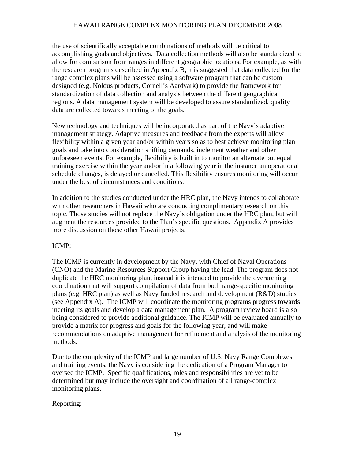the use of scientifically acceptable combinations of methods will be critical to accomplishing goals and objectives. Data collection methods will also be standardized to allow for comparison from ranges in different geographic locations. For example, as with the research programs described in Appendix B, it is suggested that data collected for the range complex plans will be assessed using a software program that can be custom designed (e.g. Noldus products, Cornell's Aardvark) to provide the framework for standardization of data collection and analysis between the different geographical regions. A data management system will be developed to assure standardized, quality data are collected towards meeting of the goals.

New technology and techniques will be incorporated as part of the Navy's adaptive management strategy. Adaptive measures and feedback from the experts will allow flexibility within a given year and/or within years so as to best achieve monitoring plan goals and take into consideration shifting demands, inclement weather and other unforeseen events. For example, flexibility is built in to monitor an alternate but equal training exercise within the year and/or in a following year in the instance an operational schedule changes, is delayed or cancelled. This flexibility ensures monitoring will occur under the best of circumstances and conditions.

In addition to the studies conducted under the HRC plan, the Navy intends to collaborate with other researchers in Hawaii who are conducting complimentary research on this topic. Those studies will not replace the Navy's obligation under the HRC plan, but will augment the resources provided to the Plan's specific questions. Appendix A provides more discussion on those other Hawaii projects.

## ICMP:

The ICMP is currently in development by the Navy, with Chief of Naval Operations (CNO) and the Marine Resources Support Group having the lead. The program does not duplicate the HRC monitoring plan, instead it is intended to provide the overarching coordination that will support compilation of data from both range-specific monitoring plans (e.g. HRC plan) as well as Navy funded research and development (R&D) studies (see Appendix A). The ICMP will coordinate the monitoring programs progress towards meeting its goals and develop a data management plan. A program review board is also being considered to provide additional guidance. The ICMP will be evaluated annually to provide a matrix for progress and goals for the following year, and will make recommendations on adaptive management for refinement and analysis of the monitoring methods.

Due to the complexity of the ICMP and large number of U.S. Navy Range Complexes and training events, the Navy is considering the dedication of a Program Manager to oversee the ICMP. Specific qualifications, roles and responsibilities are yet to be determined but may include the oversight and coordination of all range-complex monitoring plans.

## Reporting: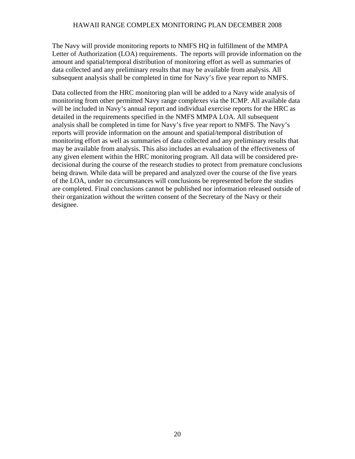The Navy will provide monitoring reports to NMFS HQ in fulfillment of the MMPA Letter of Authorization (LOA) requirements. The reports will provide information on the amount and spatial/temporal distribution of monitoring effort as well as summaries of data collected and any preliminary results that may be available from analysis. All subsequent analysis shall be completed in time for Navy's five year report to NMFS.

Data collected from the HRC monitoring plan will be added to a Navy wide analysis of monitoring from other permitted Navy range complexes via the ICMP. All available data will be included in Navy's annual report and individual exercise reports for the HRC as detailed in the requirements specified in the NMFS MMPA LOA. All subsequent analysis shall be completed in time for Navy's five year report to NMFS. The Navy's reports will provide information on the amount and spatial/temporal distribution of monitoring effort as well as summaries of data collected and any preliminary results that may be available from analysis. This also includes an evaluation of the effectiveness of any given element within the HRC monitoring program. All data will be considered predecisional during the course of the research studies to protect from premature conclusions being drawn. While data will be prepared and analyzed over the course of the five years of the LOA, under no circumstances will conclusions be represented before the studies are completed. Final conclusions cannot be published nor information released outside of their organization without the written consent of the Secretary of the Navy or their designee.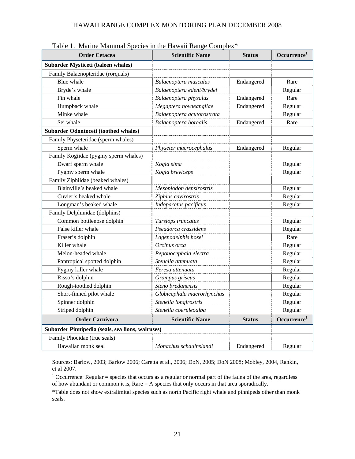| Table 1. Martine Manhinal Species in the Hawaii Kange Complex<br><b>Order Cetacea</b> | <b>Scientific Name</b>     | <b>Status</b> | Occurrence <sup>1</sup> |
|---------------------------------------------------------------------------------------|----------------------------|---------------|-------------------------|
| Suborder Mysticeti (baleen whales)                                                    |                            |               |                         |
| Family Balaenopteridae (rorquals)                                                     |                            |               |                         |
| Blue whale                                                                            | Balaenoptera musculus      | Endangered    | Rare                    |
| Bryde's whale                                                                         | Balaenoptera edeni/brydei  |               | Regular                 |
| Fin whale                                                                             | Balaenoptera physalus      | Endangered    | Rare                    |
| Humpback whale                                                                        | Megaptera novaeangliae     | Endangered    | Regular                 |
| Minke whale                                                                           | Balaenoptera acutorostrata |               | Regular                 |
| Sei whale                                                                             | Balaenoptera borealis      | Endangered    | Rare                    |
| <b>Suborder Odontoceti (toothed whales)</b>                                           |                            |               |                         |
| Family Physeteridae (sperm whales)                                                    |                            |               |                         |
| Sperm whale                                                                           | Physeter macrocephalus     | Endangered    | Regular                 |
| Family Kogiidae (pygmy sperm whales)                                                  |                            |               |                         |
| Dwarf sperm whale                                                                     | Kogia sima                 |               | Regular                 |
| Pygmy sperm whale                                                                     | Kogia breviceps            |               | Regular                 |
| Family Ziphiidae (beaked whales)                                                      |                            |               |                         |
| Blainville's beaked whale                                                             | Mesoplodon densirostris    |               | Regular                 |
| Cuvier's beaked whale                                                                 | Ziphius cavirostris        |               | Regular                 |
| Longman's beaked whale                                                                | Indopacetus pacificus      |               | Regular                 |
| Family Delphinidae (dolphins)                                                         |                            |               |                         |
| Common bottlenose dolphin                                                             | Tursiops truncatus         |               | Regular                 |
| False killer whale                                                                    | Pseudorca crassidens       |               | Regular                 |
| Fraser's dolphin                                                                      | Lagenodelphis hosei        |               | Rare                    |
| Killer whale                                                                          | Orcinus orca               |               | Regular                 |
| Melon-headed whale                                                                    | Peponocephala electra      |               | Regular                 |
| Pantropical spotted dolphin                                                           | Stenella attenuata         |               | Regular                 |
| Pygmy killer whale                                                                    | Feresa attenuata           |               | Regular                 |
| Risso's dolphin                                                                       | Grampus griseus            |               | Regular                 |
| Rough-toothed dolphin                                                                 | Steno bredanensis          |               | Regular                 |
| Short-finned pilot whale                                                              | Globicephala macrorhynchus |               | Regular                 |
| Spinner dolphin                                                                       | Stenella longirostris      |               | Regular                 |
| Striped dolphin                                                                       | Stenella coeruleoalba      |               | Regular                 |
| <b>Order Carnivora</b>                                                                | <b>Scientific Name</b>     | <b>Status</b> | Occurrence <sup>1</sup> |
| Suborder Pinnipedia (seals, sea lions, walruses)                                      |                            |               |                         |
| Family Phocidae (true seals)                                                          |                            |               |                         |
| Hawaiian monk seal                                                                    | Monachus schauinslandi     | Endangered    | Regular                 |

Table 1. Marine Mammal Species in the Hawaii Range Complex\*

Sources: Barlow, 2003; Barlow 2006; Caretta et al., 2006; DoN, 2005; DoN 2008; Mobley, 2004, Rankin, et al 2007.

<sup>1</sup> Occurrence: Regular = species that occurs as a regular or normal part of the fauna of the area, regardless of how abundant or common it is, Rare  $= A$  species that only occurs in that area sporadically.

\*Table does not show extralimital species such as north Pacific right whale and pinnipeds other than monk seals.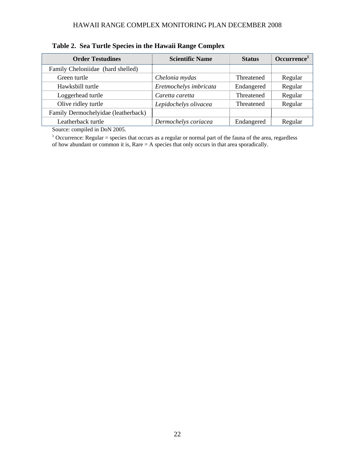| <b>Order Testudines</b>             | <b>Scientific Name</b> | <b>Status</b> | Occurrence <sup>1</sup> |
|-------------------------------------|------------------------|---------------|-------------------------|
| Family Cheloniidae (hard shelled)   |                        |               |                         |
| Green turtle                        | Chelonia mydas         | Threatened    | Regular                 |
| Hawksbill turtle                    | Eretmochelys imbricata | Endangered    | Regular                 |
| Loggerhead turtle                   | Caretta caretta        | Threatened    | Regular                 |
| Olive ridley turtle                 | Lepidochelys olivacea  | Threatened    | Regular                 |
| Family Dermochelyidae (leatherback) |                        |               |                         |
| Leatherback turtle                  | Dermochelys coriacea   | Endangered    | Regular                 |

## **Table 2. Sea Turtle Species in the Hawaii Range Complex**

Source: compiled in DoN 2005.

<sup>1</sup> Occurrence: Regular = species that occurs as a regular or normal part of the fauna of the area, regardless of how abundant or common it is, Rare = A species that only occurs in that area sporadically.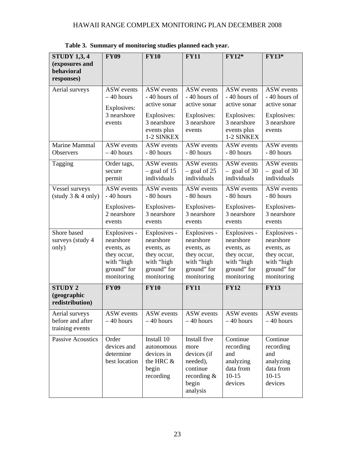| <b>STUDY 1,3, 4</b>                                   | <b>FY09</b>                                                                                       | <b>FY10</b>                                                                                       | <b>FY11</b>                                                                                        | $FY12*$                                                                                           | <b>FY13*</b>                                                                                      |
|-------------------------------------------------------|---------------------------------------------------------------------------------------------------|---------------------------------------------------------------------------------------------------|----------------------------------------------------------------------------------------------------|---------------------------------------------------------------------------------------------------|---------------------------------------------------------------------------------------------------|
| (exposures and<br>behavioral<br>responses)            |                                                                                                   |                                                                                                   |                                                                                                    |                                                                                                   |                                                                                                   |
| Aerial surveys                                        | <b>ASW</b> events<br>$-40$ hours<br>Explosives:                                                   | <b>ASW</b> events<br>- 40 hours of<br>active sonar                                                | <b>ASW</b> events<br>- 40 hours of<br>active sonar                                                 | <b>ASW</b> events<br>- 40 hours of<br>active sonar                                                | ASW events<br>- 40 hours of<br>active sonar                                                       |
|                                                       | 3 nearshore<br>events                                                                             | Explosives:<br>3 nearshore<br>events plus<br>1-2 SINKEX                                           | Explosives:<br>3 nearshore<br>events                                                               | Explosives:<br>3 nearshore<br>events plus<br>1-2 SINKEX                                           | Explosives:<br>3 nearshore<br>events                                                              |
| Marine Mammal<br><b>Observers</b>                     | <b>ASW</b> events<br>$-40$ hours                                                                  | <b>ASW</b> events<br>- 80 hours                                                                   | <b>ASW</b> events<br>- 80 hours                                                                    | ASW events<br>- 80 hours                                                                          | <b>ASW</b> events<br>- 80 hours                                                                   |
| Tagging                                               | Order tags,<br>secure<br>permit                                                                   | <b>ASW</b> events<br>$-$ goal of 15<br>individuals                                                | <b>ASW</b> events<br>$-$ goal of 25<br>individuals                                                 | ASW events<br>$-$ goal of 30<br>individuals                                                       | ASW events<br>$-$ goal of 30<br>individuals                                                       |
| Vessel surveys<br>(statdy 3 & 4 only)                 | ASW events<br>- 40 hours                                                                          | <b>ASW</b> events<br>- 80 hours                                                                   | <b>ASW</b> events<br>- 80 hours                                                                    | <b>ASW</b> events<br>- 80 hours                                                                   | ASW events<br>- 80 hours                                                                          |
|                                                       | Explosives-<br>2 nearshore<br>events                                                              | Explosives-<br>3 nearshore<br>events                                                              | Explosives-<br>3 nearshore<br>events                                                               | Explosives-<br>3 nearshore<br>events                                                              | Explosives-<br>3 nearshore<br>events                                                              |
| Shore based<br>surveys (study 4<br>only)              | Explosives -<br>nearshore<br>events, as<br>they occur,<br>with "high<br>ground" for<br>monitoring | Explosives -<br>nearshore<br>events, as<br>they occur,<br>with "high<br>ground" for<br>monitoring | Explosives -<br>nearshore<br>events, as<br>they occur,<br>with "high<br>ground" for<br>monitoring  | Explosives -<br>nearshore<br>events, as<br>they occur,<br>with "high<br>ground" for<br>monitoring | Explosives -<br>nearshore<br>events, as<br>they occur,<br>with "high<br>ground" for<br>monitoring |
| <b>STUDY 2</b><br>(geographic<br>redistribution)      | <b>FY09</b>                                                                                       | <b>FY10</b>                                                                                       | <b>FY11</b>                                                                                        | <b>FY12</b>                                                                                       | <b>FY13</b>                                                                                       |
| Aerial surveys<br>before and after<br>training events | ASW events<br>$-40$ hours                                                                         | <b>ASW</b> events<br>$-40$ hours                                                                  | ASW events<br>$-40$ hours                                                                          | ASW events<br>$-40$ hours                                                                         | ASW events<br>$-40$ hours                                                                         |
| Passive Acoustics                                     | Order<br>devices and<br>determine<br>best location                                                | Install 10<br>autonomous<br>devices in<br>the HRC &<br>begin<br>recording                         | Install five<br>more<br>devices (if<br>needed),<br>continue<br>recording $\&$<br>begin<br>analysis | Continue<br>recording<br>and<br>analyzing<br>data from<br>$10-15$<br>devices                      | Continue<br>recording<br>and<br>analyzing<br>data from<br>$10 - 15$<br>devices                    |

**Table 3. Summary of monitoring studies planned each year.**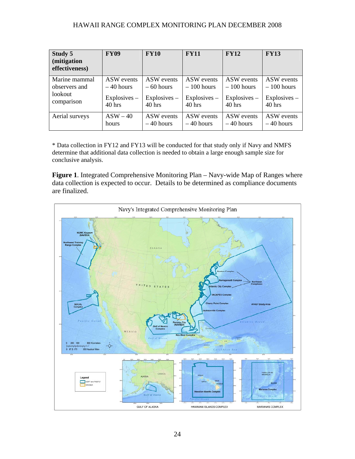| Study 5<br>(mitigation<br>effectiveness) | <b>FY09</b>    | <b>FY10</b>    | <b>FY11</b>    | <b>FY12</b>    | <b>FY13</b>    |
|------------------------------------------|----------------|----------------|----------------|----------------|----------------|
| Marine mammal                            | ASW events     | ASW events     | ASW events     | ASW events     | ASW events     |
| observers and                            | $-40$ hours    | $-60$ hours    | $-100$ hours   | $-100$ hours   | $-100$ hours   |
| lookout                                  | $Explosives -$ | $Explosives -$ | $Explosives -$ | $Explosives -$ | $Explosives -$ |
| comparison                               | $40$ hrs       | $40$ hrs       | $40$ hrs       | $40$ hrs       | $40$ hrs       |
| Aerial surveys                           | $ASW - 40$     | ASW events     | ASW events     | ASW events     | ASW events     |
|                                          | hours          | $-40$ hours    | $-40$ hours    | $-40$ hours    | $-40$ hours    |

\* Data collection in FY12 and FY13 will be conducted for that study only if Navy and NMFS determine that additional data collection is needed to obtain a large enough sample size for conclusive analysis.

**Figure 1**. Integrated Comprehensive Monitoring Plan – Navy-wide Map of Ranges where data collection is expected to occur. Details to be determined as compliance documents are finalized.

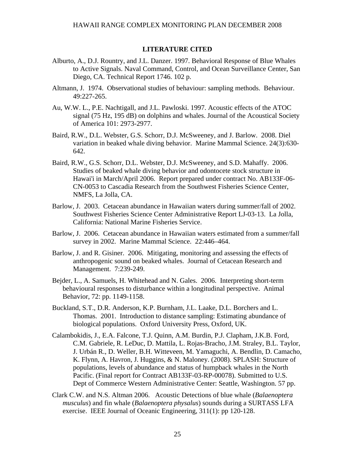#### **LITERATURE CITED**

- Alburto, A., D.J. Rountry, and J.L. Danzer. 1997. Behavioral Response of Blue Whales to Active Signals. Naval Command, Control, and Ocean Surveillance Center, San Diego, CA. Technical Report 1746. 102 p.
- Altmann, J. 1974. Observational studies of behaviour: sampling methods. Behaviour. 49:227-265.
- Au, W.W. L., P.E. Nachtigall, and J.L. Pawloski. 1997. Acoustic effects of the ATOC signal (75 Hz, 195 dB) on dolphins and whales. Journal of the Acoustical Society of America 101: 2973-2977.
- Baird, R.W., D.L. Webster, G.S. Schorr, D.J. McSweeney, and J. Barlow. 2008. Diel variation in beaked whale diving behavior. Marine Mammal Science. 24(3):630- 642.
- Baird, R.W., G.S. Schorr, D.L. Webster, D.J. McSweeney, and S.D. Mahaffy. 2006. Studies of beaked whale diving behavior and odontocete stock structure in Hawai'i in March/April 2006. Report prepared under contract No. AB133F-06- CN-0053 to Cascadia Research from the Southwest Fisheries Science Center, NMFS, La Jolla, CA.
- Barlow, J. 2003. Cetacean abundance in Hawaiian waters during summer/fall of 2002. Southwest Fisheries Science Center Administrative Report LJ-03-13. La Jolla, California: National Marine Fisheries Service.
- Barlow, J. 2006. Cetacean abundance in Hawaiian waters estimated from a summer/fall survey in 2002. Marine Mammal Science. 22:446–464.
- Barlow, J. and R. Gisiner. 2006. Mitigating, monitoring and assessing the effects of anthropogenic sound on beaked whales. Journal of Cetacean Research and Management. 7:239-249.
- Bejder, L., A. Samuels, H. Whitehead and N. Gales. 2006. Interpreting short-term behavioural responses to disturbance within a longitudinal perspective. Animal Behavior, 72: pp. 1149-1158.
- Buckland, S.T., D.R. Anderson, K.P. Burnham, J.L. Laake, D.L. Borchers and L. Thomas. 2001. Introduction to distance sampling: Estimating abundance of biological populations. Oxford University Press, Oxford, UK.
- Calambokidis, J., E.A. Falcone, T.J. Quinn, A.M. Burdin, P.J. Clapham, J.K.B. Ford, C.M. Gabriele, R. LeDuc, D. Mattila, L. Rojas-Bracho, J.M. Straley, B.L. Taylor, J. Urbán R., D. Weller, B.H. Witteveen, M. Yamaguchi, A. Bendlin, D. Camacho, K. Flynn, A. Havron, J. Huggins, & N. Maloney. (2008). SPLASH: Structure of populations, levels of abundance and status of humpback whales in the North Pacific. (Final report for Contract AB133F-03-RP-00078). Submitted to U.S. Dept of Commerce Western Administrative Center: Seattle, Washington. 57 pp.
- Clark C.W. and N.S. Altman 2006. Acoustic Detections of blue whale (*Balaenoptera musculus*) and fin whale (*Balaenoptera physalus*) sounds during a SURTASS LFA exercise. IEEE Journal of Oceanic Engineering, 311(1): pp 120-128.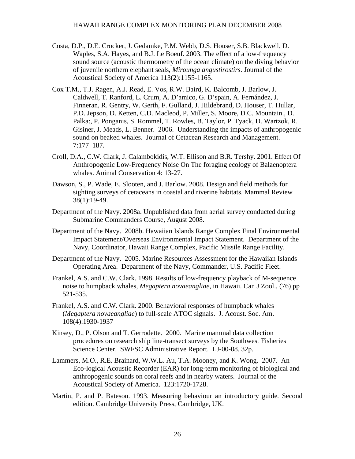- Costa, D.P., D.E. Crocker, J. Gedamke, P.M. Webb, D.S. Houser, S.B. Blackwell, D. Waples, S.A. Hayes, and B.J. Le Boeuf. 2003. The effect of a low-frequency sound source (acoustic thermometry of the ocean climate) on the diving behavior of juvenile northern elephant seals, *Mirounga angustirostirs*. Journal of the Acoustical Society of America 113(2):1155-1165.
- Cox T.M., T.J. Ragen, A.J. Read, E. Vos, R.W. Baird, K. Balcomb, J. Barlow, J. Caldwell, T. Ranford, L. Crum, A. D'amico, G. D'spain, A. Fernández, J. Finneran, R. Gentry, W. Gerth, F. Gulland, J. Hildebrand, D. Houser, T. Hullar, P.D. Jepson, D. Ketten, C.D. Macleod, P. Miller, S. Moore, D.C. Mountain., D. Palka:, P. Ponganis, S. Rommel, T. Rowles, B. Taylor, P. Tyack, D. Wartzok, R. Gisiner, J. Meads, L. Benner. 2006. Understanding the impacts of anthropogenic sound on beaked whales. Journal of Cetacean Research and Management. 7:177–187.
- Croll, D.A., C.W. Clark, J. Calambokidis, W.T. Ellison and B.R. Tershy. 2001. Effect Of Anthropogenic Low-Frequency Noise On The foraging ecology of Balaenoptera whales. Animal Conservation 4: 13-27.
- Dawson, S., P. Wade, E. Slooten, and J. Barlow. 2008. Design and field methods for sighting surveys of cetaceans in coastal and riverine habitats. Mammal Review 38(1):19-49.
- Department of the Navy. 2008a. Unpublished data from aerial survey conducted during Submarine Commanders Course, August 2008.
- Department of the Navy. 2008b. Hawaiian Islands Range Complex Final Environmental Impact Statement/Overseas Environmental Impact Statement. Department of the Navy, Coordinator, Hawaii Range Complex, Pacific Missile Range Facility.
- Department of the Navy. 2005. Marine Resources Assessment for the Hawaiian Islands Operating Area. Department of the Navy, Commander, U.S. Pacific Fleet.
- Frankel, A.S. and C.W. Clark. 1998. Results of low-frequency playback of M-sequence noise to humpback whales, *Megaptera novaeangliae*, in Hawaii. Can J Zool., (76) pp 521-535.
- Frankel, A.S. and C.W. Clark. 2000. Behavioral responses of humpback whales (*Megaptera novaeangliae*) to full-scale ATOC signals. J. Acoust. Soc. Am. 108(4):1930-1937
- Kinsey, D., P. Olson and T. Gerrodette. 2000. Marine mammal data collection procedures on research ship line-transect surveys by the Southwest Fisheries Science Center. SWFSC Administrative Report. LJ-00-08. 32p.
- Lammers, M.O., R.E. Brainard, W.W.L. Au, T.A. Mooney, and K. Wong. 2007. An Eco-logical Acoustic Recorder (EAR) for long-term monitoring of biological and anthropogenic sounds on coral reefs and in nearby waters. Journal of the Acoustical Society of America. 123:1720-1728.
- Martin, P. and P. Bateson. 1993. Measuring behaviour an introductory guide*.* Second edition. Cambridge University Press, Cambridge, UK.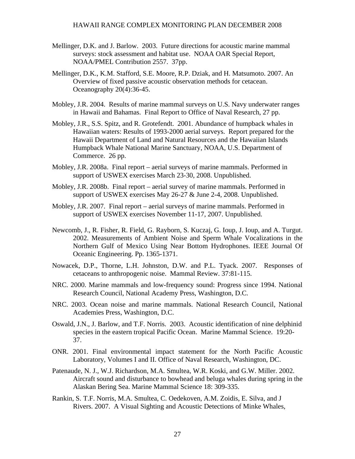- Mellinger, D.K. and J. Barlow. 2003. Future directions for acoustic marine mammal surveys: stock assessment and habitat use. NOAA OAR Special Report, NOAA/PMEL Contribution 2557. 37pp.
- Mellinger, D.K., K.M. Stafford, S.E. Moore, R.P. Dziak, and H. Matsumoto. 2007. An Overview of fixed passive acoustic observation methods for cetacean. Oceanography 20(4):36-45.
- Mobley, J.R. 2004. Results of marine mammal surveys on U.S. Navy underwater ranges in Hawaii and Bahamas. Final Report to Office of Naval Research, 27 pp.
- Mobley, J.R., S.S. Spitz, and R. Grotefendt. 2001. Abundance of humpback whales in Hawaiian waters: Results of 1993-2000 aerial surveys. Report prepared for the Hawaii Department of Land and Natural Resources and the Hawaiian Islands Humpback Whale National Marine Sanctuary, NOAA, U.S. Department of Commerce. 26 pp.
- Mobley, J.R. 2008a. Final report aerial surveys of marine mammals. Performed in support of USWEX exercises March 23-30, 2008. Unpublished.
- Mobley, J.R. 2008b. Final report aerial survey of marine mammals. Performed in support of USWEX exercises May 26-27 & June 2-4, 2008. Unpublished.
- Mobley, J.R. 2007. Final report aerial surveys of marine mammals. Performed in support of USWEX exercises November 11-17, 2007. Unpublished.
- Newcomb, J., R. Fisher, R. Field, G. Rayborn, S. Kuczaj, G. Ioup, J. Ioup, and A. Turgut. 2002. Measurements of Ambient Noise and Sperm Whale Vocalizations in the Northern Gulf of Mexico Using Near Bottom Hydrophones. IEEE Journal Of Oceanic Engineering. Pp. 1365-1371.
- Nowacek, D.P., Thorne, L.H. Johnston, D.W. and P.L. Tyack. 2007. Responses of cetaceans to anthropogenic noise. Mammal Review. 37:81-115.
- NRC. 2000. Marine mammals and low-frequency sound: Progress since 1994. National Research Council, National Academy Press, Washington, D.C.
- NRC. 2003. Ocean noise and marine mammals. National Research Council, National Academies Press, Washington, D.C.
- Oswald, J.N., J. Barlow, and T.F. Norris. 2003. Acoustic identification of nine delphinid species in the eastern tropical Pacific Ocean. Marine Mammal Science.19:20- 37.
- ONR. 2001. Final environmental impact statement for the North Pacific Acoustic Laboratory, Volumes I and II. Office of Naval Research, Washington, DC.
- Patenaude, N. J., W.J. Richardson, M.A. Smultea, W.R. Koski, and G.W. Miller. 2002. Aircraft sound and disturbance to bowhead and beluga whales during spring in the Alaskan Bering Sea. Marine Mammal Science 18: 309-335.
- Rankin, S. T.F. Norris, M.A. Smultea, C. Oedekoven, A.M. Zoidis, E. Silva, and J Rivers. 2007. A Visual Sighting and Acoustic Detections of Minke Whales,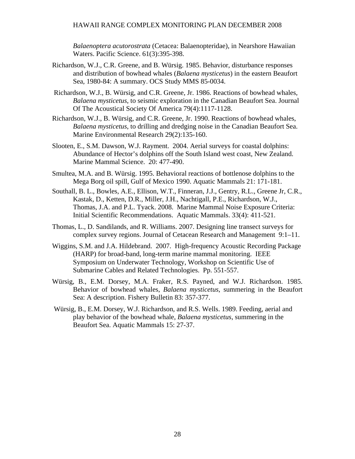*Balaenoptera acutorostrata* (Cetacea: Balaenopteridae), in Nearshore Hawaiian Waters. Pacific Science. 61(3):395-398.

- Richardson, W.J., C.R. Greene, and B. Würsig. 1985. Behavior, disturbance responses and distribution of bowhead whales (*Balaena mysticetus*) in the eastern Beaufort Sea, 1980-84: A summary. OCS Study MMS 85-0034.
- Richardson, W.J., B. Würsig, and C.R. Greene, Jr. 1986. Reactions of bowhead whales, *Balaena mysticetus*, to seismic exploration in the Canadian Beaufort Sea. Journal Of The Acoustical Society Of America 79(4):1117-1128.
- Richardson, W.J., B. Würsig, and C.R. Greene, Jr. 1990. Reactions of bowhead whales, *Balaena mysticetus*, to drilling and dredging noise in the Canadian Beaufort Sea. Marine Environmental Research 29(2):135-160.
- Slooten, E., S.M. Dawson, W.J. Rayment. 2004. Aerial surveys for coastal dolphins: Abundance of Hector's dolphins off the South Island west coast, New Zealand. Marine Mammal Science. 20: 477-490.
- Smultea, M.A. and B. Würsig. 1995. Behavioral reactions of bottlenose dolphins to the Mega Borg oil spill, Gulf of Mexico 1990. Aquatic Mammals 21: 171-181.
- Southall, B. L., Bowles, A.E., Ellison, W.T., Finneran, J.J., Gentry, R.L., Greene Jr, C.R., Kastak, D., Ketten, D.R., Miller, J.H., Nachtigall, P.E., Richardson, W.J., Thomas, J.A. and P.L. Tyack. 2008. Marine Mammal Noise Exposure Criteria: Initial Scientific Recommendations. Aquatic Mammals. 33(4): 411-521.
- Thomas, L., D. Sandilands, and R. Williams. 2007. Designing line transect surveys for complex survey regions. Journal of Cetacean Research and Management 9:1–11.
- Wiggins, S.M. and J.A. Hildebrand. 2007. High-frequency Acoustic Recording Package (HARP) for broad-band, long-term marine mammal monitoring. IEEE Symposium on Underwater Technology, Workshop on Scientific Use of Submarine Cables and Related Technologies. Pp. 551-557.
- Würsig, B., E.M. Dorsey, M.A. Fraker, R.S. Payned, and W.J. Richardson. 1985. Behavior of bowhead whales, *Balaena mysticetus*, summering in the Beaufort Sea: A description. Fishery Bulletin 83: 357-377.
- Würsig, B., E.M. Dorsey, W.J. Richardson, and R.S. Wells. 1989. Feeding, aerial and play behavior of the bowhead whale, *Balaena mysticetus*, summering in the Beaufort Sea. Aquatic Mammals 15: 27-37.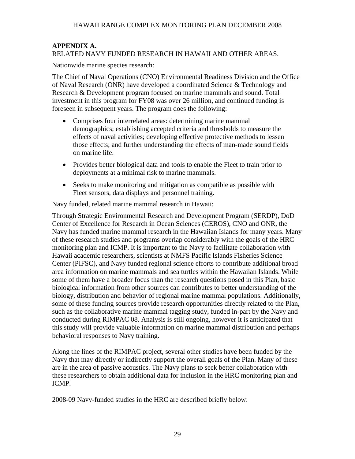#### **APPENDIX A.**  RELATED NAVY FUNDED RESEARCH IN HAWAII AND OTHER AREAS.

Nationwide marine species research:

The Chief of Naval Operations (CNO) Environmental Readiness Division and the Office of Naval Research (ONR) have developed a coordinated Science & Technology and Research & Development program focused on marine mammals and sound. Total investment in this program for FY08 was over 26 million, and continued funding is foreseen in subsequent years. The program does the following:

- Comprises four interrelated areas: determining marine mammal demographics; establishing accepted criteria and thresholds to measure the effects of naval activities; developing effective protective methods to lessen those effects; and further understanding the effects of man-made sound fields on marine life.
- Provides better biological data and tools to enable the Fleet to train prior to deployments at a minimal risk to marine mammals.
- Seeks to make monitoring and mitigation as compatible as possible with Fleet sensors, data displays and personnel training.

Navy funded, related marine mammal research in Hawaii:

Through Strategic Environmental Research and Development Program (SERDP), DoD Center of Excellence for Research in Ocean Sciences (CEROS), CNO and ONR, the Navy has funded marine mammal research in the Hawaiian Islands for many years. Many of these research studies and programs overlap considerably with the goals of the HRC monitoring plan and ICMP. It is important to the Navy to facilitate collaboration with Hawaii academic researchers, scientists at NMFS Pacific Islands Fisheries Science Center (PIFSC), and Navy funded regional science efforts to contribute additional broad area information on marine mammals and sea turtles within the Hawaiian Islands. While some of them have a broader focus than the research questions posed in this Plan, basic biological information from other sources can contributes to better understanding of the biology, distribution and behavior of regional marine mammal populations. Additionally, some of these funding sources provide research opportunities directly related to the Plan, such as the collaborative marine mammal tagging study, funded in-part by the Navy and conducted during RIMPAC 08. Analysis is still ongoing, however it is anticipated that this study will provide valuable information on marine mammal distribution and perhaps behavioral responses to Navy training.

Along the lines of the RIMPAC project, several other studies have been funded by the Navy that may directly or indirectly support the overall goals of the Plan. Many of these are in the area of passive acoustics. The Navy plans to seek better collaboration with these researchers to obtain additional data for inclusion in the HRC monitoring plan and ICMP.

2008-09 Navy-funded studies in the HRC are described briefly below: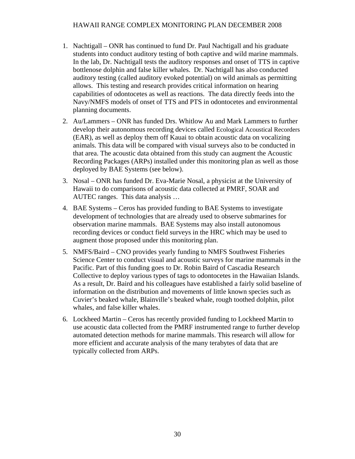- 1. Nachtigall ONR has continued to fund Dr. Paul Nachtigall and his graduate students into conduct auditory testing of both captive and wild marine mammals. In the lab, Dr. Nachtigall tests the auditory responses and onset of TTS in captive bottlenose dolphin and false killer whales. Dr. Nachtigall has also conducted auditory testing (called auditory evoked potential) on wild animals as permitting allows. This testing and research provides critical information on hearing capabilities of odontocetes as well as reactions. The data directly feeds into the Navy/NMFS models of onset of TTS and PTS in odontocetes and environmental planning documents.
- 2. Au/Lammers ONR has funded Drs. Whitlow Au and Mark Lammers to further develop their autonomous recording devices called Ecological Acoustical Recorders (EAR), as well as deploy them off Kauai to obtain acoustic data on vocalizing animals. This data will be compared with visual surveys also to be conducted in that area. The acoustic data obtained from this study can augment the Acoustic Recording Packages (ARPs) installed under this monitoring plan as well as those deployed by BAE Systems (see below).
- 3. Nosal ONR has funded Dr. Eva-Marie Nosal, a physicist at the University of Hawaii to do comparisons of acoustic data collected at PMRF, SOAR and AUTEC ranges. This data analysis …
- 4. BAE Systems Ceros has provided funding to BAE Systems to investigate development of technologies that are already used to observe submarines for observation marine mammals. BAE Systems may also install autonomous recording devices or conduct field surveys in the HRC which may be used to augment those proposed under this monitoring plan.
- 5. NMFS/Baird CNO provides yearly funding to NMFS Southwest Fisheries Science Center to conduct visual and acoustic surveys for marine mammals in the Pacific. Part of this funding goes to Dr. Robin Baird of Cascadia Research Collective to deploy various types of tags to odontocetes in the Hawaiian Islands. As a result, Dr. Baird and his colleagues have established a fairly solid baseline of information on the distribution and movements of little known species such as Cuvier's beaked whale, Blainville's beaked whale, rough toothed dolphin, pilot whales, and false killer whales.
- 6. Lockheed Martin Ceros has recently provided funding to Lockheed Martin to use acoustic data collected from the PMRF instrumented range to further develop automated detection methods for marine mammals. This research will allow for more efficient and accurate analysis of the many terabytes of data that are typically collected from ARPs.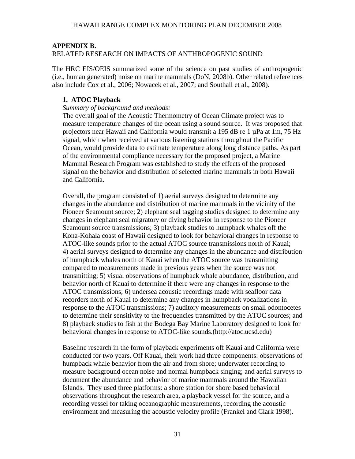## **APPENDIX B.**

## RELATED RESEARCH ON IMPACTS OF ANTHROPOGENIC SOUND

The HRC EIS/OEIS summarized some of the science on past studies of anthropogenic (i.e., human generated) noise on marine mammals (DoN, 2008b). Other related references also include Cox et al., 2006; Nowacek et al., 2007; and Southall et al., 2008).

#### **1. ATOC Playback**

#### *Summary of background and methods:*

The overall goal of the Acoustic Thermometry of Ocean Climate project was to measure temperature changes of the ocean using a sound source. It was proposed that projectors near Hawaii and California would transmit a 195 dB re 1 uPa at 1m, 75 Hz signal, which when received at various listening stations throughout the Pacific Ocean, would provide data to estimate temperature along long distance paths. As part of the environmental compliance necessary for the proposed project, a Marine Mammal Research Program was established to study the effects of the proposed signal on the behavior and distribution of selected marine mammals in both Hawaii and California.

Overall, the program consisted of 1) aerial surveys designed to determine any changes in the abundance and distribution of marine mammals in the vicinity of the Pioneer Seamount source; 2) elephant seal tagging studies designed to determine any changes in elephant seal migratory or diving behavior in response to the Pioneer Seamount source transmissions; 3) playback studies to humpback whales off the Kona-Kohala coast of Hawaii designed to look for behavioral changes in response to ATOC-like sounds prior to the actual ATOC source transmissions north of Kauai; 4) aerial surveys designed to determine any changes in the abundance and distribution of humpback whales north of Kauai when the ATOC source was transmitting compared to measurements made in previous years when the source was not transmitting; 5) visual observations of humpback whale abundance, distribution, and behavior north of Kauai to determine if there were any changes in response to the ATOC transmissions; 6) undersea acoustic recordings made with seafloor data recorders north of Kauai to determine any changes in humpback vocalizations in response to the ATOC transmissions; 7) auditory measurements on small odontocetes to determine their sensitivity to the frequencies transmitted by the ATOC sources; and 8) playback studies to fish at the Bodega Bay Marine Laboratory designed to look for behavioral changes in response to ATOC-like sounds.([http://atoc.ucsd.edu\)](http://atoc.ucsd.edu) 

Baseline research in the form of playback experiments off Kauai and California were conducted for two years. Off Kauai, their work had three components: observations of humpback whale behavior from the air and from shore; underwater recording to measure background ocean noise and normal humpback singing; and aerial surveys to document the abundance and behavior of marine mammals around the Hawaiian Islands. They used three platforms: a shore station for shore based behavioral observations throughout the research area, a playback vessel for the source, and a recording vessel for taking oceanographic measurements, recording the acoustic environment and measuring the acoustic velocity profile (Frankel and Clark 1998).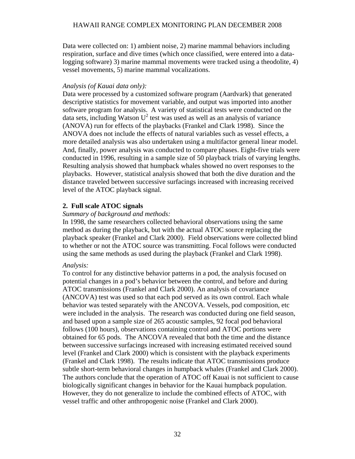Data were collected on: 1) ambient noise, 2) marine mammal behaviors including respiration, surface and dive times (which once classified, were entered into a datalogging software) 3) marine mammal movements were tracked using a theodolite, 4) vessel movements, 5) marine mammal vocalizations.

#### *Analysis (of Kauai data only):*

Data were processed by a customized software program (Aardvark) that generated descriptive statistics for movement variable, and output was imported into another software program for analysis. A variety of statistical tests were conducted on the data sets, including Watson  $U^2$  test was used as well as an analysis of variance (ANOVA) run for effects of the playbacks (Frankel and Clark 1998). Since the ANOVA does not include the effects of natural variables such as vessel effects, a more detailed analysis was also undertaken using a multifactor general linear model. And, finally, power analysis was conducted to compare phases. Eight-five trials were conducted in 1996, resulting in a sample size of 50 playback trials of varying lengths. Resulting analysis showed that humpback whales showed no overt responses to the playbacks. However, statistical analysis showed that both the dive duration and the distance traveled between successive surfacings increased with increasing received level of the ATOC playback signal.

## **2. Full scale ATOC signals**

#### *Summary of background and methods:*

In 1998, the same researchers collected behavioral observations using the same method as during the playback, but with the actual ATOC source replacing the playback speaker (Frankel and Clark 2000). Field observations were collected blind to whether or not the ATOC source was transmitting. Focal follows were conducted using the same methods as used during the playback (Frankel and Clark 1998).

#### *Analysis:*

To control for any distinctive behavior patterns in a pod, the analysis focused on potential changes in a pod's behavior between the control, and before and during ATOC transmissions (Frankel and Clark 2000). An analysis of covariance (ANCOVA) test was used so that each pod served as its own control. Each whale behavior was tested separately with the ANCOVA. Vessels, pod composition, etc were included in the analysis. The research was conducted during one field season, and based upon a sample size of 265 acoustic samples, 92 focal pod behavioral follows (100 hours), observations containing control and ATOC portions were obtained for 65 pods. The ANCOVA revealed that both the time and the distance between successive surfacings increased with increasing estimated received sound level (Frankel and Clark 2000) which is consistent with the playback experiments (Frankel and Clark 1998). The results indicate that ATOC transmissions produce subtle short-term behavioral changes in humpback whales (Frankel and Clark 2000). The authors conclude that the operation of ATOC off Kauai is not sufficient to cause biologically significant changes in behavior for the Kauai humpback population. However, they do not generalize to include the combined effects of ATOC, with vessel traffic and other anthropogenic noise (Frankel and Clark 2000).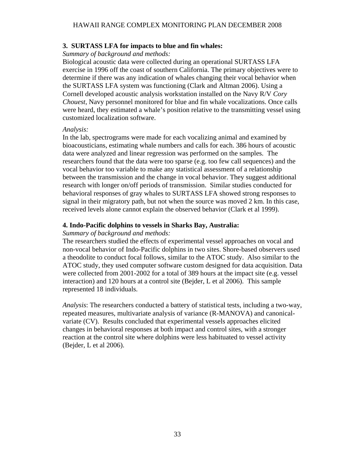#### **3. SURTASS LFA for impacts to blue and fin whales:**

*Summary of background and methods:* 

Biological acoustic data were collected during an operational SURTASS LFA exercise in 1996 off the coast of southern California. The primary objectives were to determine if there was any indication of whales changing their vocal behavior when the SURTASS LFA system was functioning (Clark and Altman 2006). Using a Cornell developed acoustic analysis workstation installed on the Navy R/V *Cory Chouest*, Navy personnel monitored for blue and fin whale vocalizations. Once calls were heard, they estimated a whale's position relative to the transmitting vessel using customized localization software.

#### *Analysis:*

In the lab, spectrograms were made for each vocalizing animal and examined by bioacousticians, estimating whale numbers and calls for each. 386 hours of acoustic data were analyzed and linear regression was performed on the samples. The researchers found that the data were too sparse (e.g. too few call sequences) and the vocal behavior too variable to make any statistical assessment of a relationship between the transmission and the change in vocal behavior. They suggest additional research with longer on/off periods of transmission. Similar studies conducted for behavioral responses of gray whales to SURTASS LFA showed strong responses to signal in their migratory path, but not when the source was moved 2 km. In this case, received levels alone cannot explain the observed behavior (Clark et al 1999).

#### **4. Indo-Pacific dolphins to vessels in Sharks Bay, Australia:**

#### *Summary of background and methods:*

The researchers studied the effects of experimental vessel approaches on vocal and non-vocal behavior of Indo-Pacific dolphins in two sites. Shore-based observers used a theodolite to conduct focal follows, similar to the ATOC study. Also similar to the ATOC study, they used computer software custom designed for data acquisition. Data were collected from 2001-2002 for a total of 389 hours at the impact site (e.g. vessel interaction) and 120 hours at a control site (Bejder, L et al 2006). This sample represented 18 individuals.

*Analysis*: The researchers conducted a battery of statistical tests, including a two-way, repeated measures, multivariate analysis of variance (R-MANOVA) and canonicalvariate (CV). Results concluded that experimental vessels approaches elicited changes in behavioral responses at both impact and control sites, with a stronger reaction at the control site where dolphins were less habituated to vessel activity (Bejder, L et al 2006).